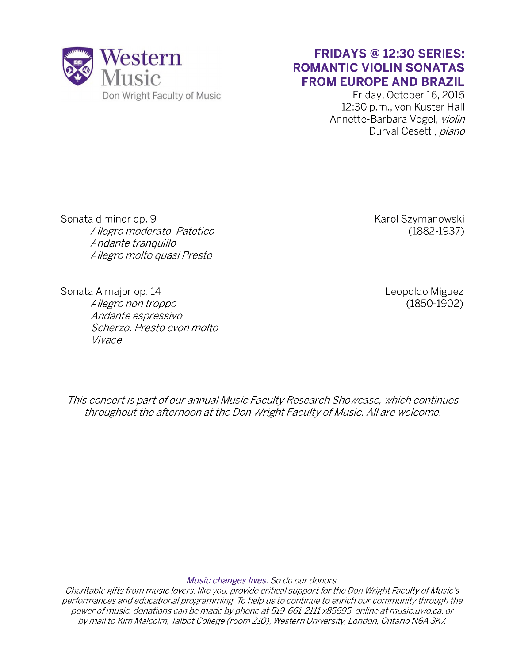

## **FRIDAYS @ 12:30 SERIES: ROMANTIC VIOLIN SONATAS FROM EUROPE AND BRAZIL**

Friday, October 16, 2015 12:30 p.m., von Kuster Hall Annette-Barbara Vogel, *violin* Durval Cesetti, *piano*

Sonata d minor op. 9 *Allegro moderato. Patetico Andante tranquillo Allegro molto quasi Presto*

Karol Szymanowski (1882-1937)

Sonata A major op. 14 *Allegro non troppo Andante espressivo Scherzo. Presto cvon molto Vivace*

Leopoldo Miguez (1850-1902)

**This concert is part of our annual Music Faculty Research Showcase, which continues** *throughout the afternoon at the Don Wright Faculty of Music. All are welcome.* 

*Music changes lives. So do our donors.*

*Charitable gifts from music lovers, like you, provide critical support for the Don Wright Faculty of Music's performances and educational programming. To help us to continue to enrich our community through the* power of music, donations can be made by phone at 519-661-2111 x85695, online at music.uwo.ca, or *by m ail to Kim Malcolm, Talbot College (room 210), Western University, London, Ontario N6A 3K7.*